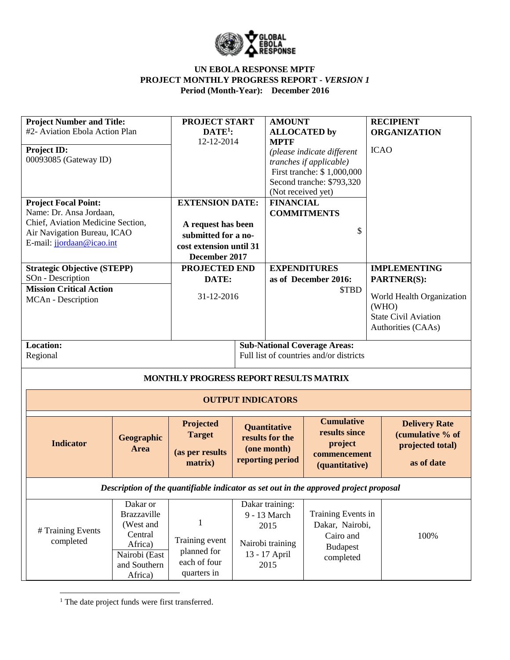

| <b>Project Number and Title:</b><br>#2- Aviation Ebola Action Plan<br><b>Project ID:</b><br>00093085 (Gateway ID)<br><b>Project Focal Point:</b><br>Name: Dr. Ansa Jordaan,<br>Chief, Aviation Medicine Section,<br>Air Navigation Bureau, ICAO |                                                                                                               | <b>PROJECT START</b><br>$DATE1$ :<br>12-12-2014<br><b>EXTENSION DATE:</b><br>A request has been<br>submitted for a no- | <b>AMOUNT</b><br><b>ALLOCATED</b> by<br><b>MPTF</b><br>(Not received yet)<br><b>FINANCIAL</b> | (please indicate different<br>tranches if applicable)<br>First tranche: \$1,000,000<br>Second tranche: \$793,320<br><b>COMMITMENTS</b><br>\$ | <b>RECIPIENT</b><br><b>ORGANIZATION</b><br><b>ICAO</b>                                                                               |  |
|-------------------------------------------------------------------------------------------------------------------------------------------------------------------------------------------------------------------------------------------------|---------------------------------------------------------------------------------------------------------------|------------------------------------------------------------------------------------------------------------------------|-----------------------------------------------------------------------------------------------|----------------------------------------------------------------------------------------------------------------------------------------------|--------------------------------------------------------------------------------------------------------------------------------------|--|
| E-mail: jjordaan@icao.int                                                                                                                                                                                                                       |                                                                                                               | cost extension until 31<br>December 2017                                                                               |                                                                                               |                                                                                                                                              |                                                                                                                                      |  |
| <b>Strategic Objective (STEPP)</b><br>SOn - Description<br><b>Mission Critical Action</b><br>MCAn - Description                                                                                                                                 |                                                                                                               | <b>PROJECTED END</b><br>DATE:<br>31-12-2016                                                                            |                                                                                               | <b>EXPENDITURES</b><br>as of December 2016:<br>\$TBD                                                                                         | <b>IMPLEMENTING</b><br><b>PARTNER(S):</b><br>World Health Organization<br>(WHO)<br><b>State Civil Aviation</b><br>Authorities (CAAs) |  |
| <b>Location:</b><br>Regional                                                                                                                                                                                                                    |                                                                                                               |                                                                                                                        |                                                                                               | <b>Sub-National Coverage Areas:</b><br>Full list of countries and/or districts                                                               |                                                                                                                                      |  |
|                                                                                                                                                                                                                                                 |                                                                                                               | MONTHLY PROGRESS REPORT RESULTS MATRIX                                                                                 |                                                                                               |                                                                                                                                              |                                                                                                                                      |  |
|                                                                                                                                                                                                                                                 |                                                                                                               |                                                                                                                        | <b>OUTPUT INDICATORS</b>                                                                      |                                                                                                                                              |                                                                                                                                      |  |
| <b>Indicator</b>                                                                                                                                                                                                                                | Geographic<br>Area                                                                                            | Projected<br><b>Target</b><br>(as per results<br>matrix)                                                               | <b>Quantitative</b><br>results for the<br>(one month)<br>reporting period                     | <b>Cumulative</b><br>results since<br>project<br>commencement<br>(quantitative)                                                              | <b>Delivery Rate</b><br>(cumulative % of<br>projected total)<br>as of date                                                           |  |
|                                                                                                                                                                                                                                                 |                                                                                                               | Description of the quantifiable indicator as set out in the approved project proposal                                  |                                                                                               |                                                                                                                                              |                                                                                                                                      |  |
| # Training Events<br>completed                                                                                                                                                                                                                  | Dakar or<br><b>Brazzaville</b><br>(West and<br>Central<br>Africa)<br>Nairobi (East<br>and Southern<br>Africa) | 1<br>Training event<br>planned for<br>each of four<br>quarters in                                                      | Dakar training:<br>9 - 13 March<br>2015<br>Nairobi training<br>13 - 17 April<br>2015          | Training Events in<br>Dakar, Nairobi,<br>Cairo and<br><b>Budapest</b><br>completed                                                           | 100%                                                                                                                                 |  |

<sup>1</sup> The date project funds were first transferred.

 $\overline{\phantom{a}}$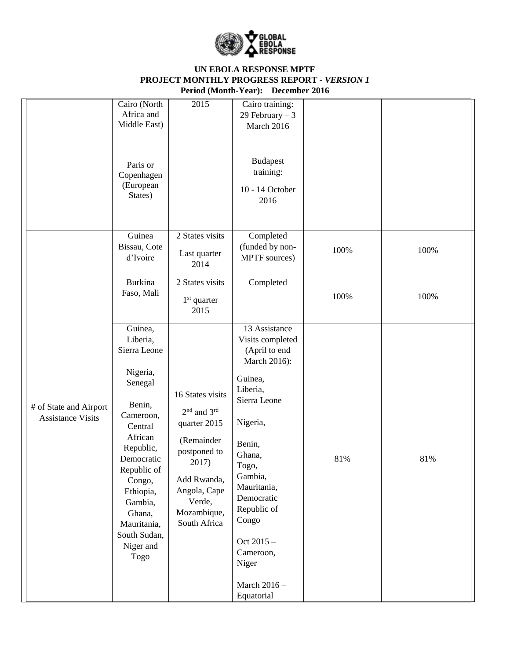

|                                                    | Cairo (North<br>Africa and<br>Middle East)                                                                                                                                                                                                        | 2015                                                                                                                                                                                   | Cairo training:<br>29 February $-3$<br>March 2016                                                                                                                                                                                                                                   |      |      |
|----------------------------------------------------|---------------------------------------------------------------------------------------------------------------------------------------------------------------------------------------------------------------------------------------------------|----------------------------------------------------------------------------------------------------------------------------------------------------------------------------------------|-------------------------------------------------------------------------------------------------------------------------------------------------------------------------------------------------------------------------------------------------------------------------------------|------|------|
|                                                    | Paris or<br>Copenhagen<br>(European<br>States)                                                                                                                                                                                                    |                                                                                                                                                                                        | <b>Budapest</b><br>training:<br>10 - 14 October<br>2016                                                                                                                                                                                                                             |      |      |
|                                                    | Guinea<br>Bissau, Cote<br>d'Ivoire                                                                                                                                                                                                                | 2 States visits<br>Last quarter<br>2014                                                                                                                                                | Completed<br>(funded by non-<br>MPTF sources)                                                                                                                                                                                                                                       | 100% | 100% |
|                                                    | <b>Burkina</b><br>Faso, Mali                                                                                                                                                                                                                      | 2 States visits<br>$1st$ quarter<br>2015                                                                                                                                               | Completed                                                                                                                                                                                                                                                                           | 100% | 100% |
| # of State and Airport<br><b>Assistance Visits</b> | Guinea,<br>Liberia,<br>Sierra Leone<br>Nigeria,<br>Senegal<br>Benin,<br>Cameroon,<br>Central<br>African<br>Republic,<br>Democratic<br>Republic of<br>Congo,<br>Ethiopia,<br>Gambia,<br>Ghana,<br>Mauritania,<br>South Sudan,<br>Niger and<br>Togo | 16 States visits<br>2 <sup>nd</sup> and 3 <sup>rd</sup><br>quarter 2015<br>(Remainder<br>postponed to<br>2017)<br>Add Rwanda,<br>Angola, Cape<br>Verde,<br>Mozambique,<br>South Africa | 13 Assistance<br>Visits completed<br>(April to end<br>March 2016):<br>Guinea,<br>Liberia,<br>Sierra Leone<br>Nigeria,<br>Benin,<br>Ghana,<br>Togo,<br>Gambia,<br>Mauritania,<br>Democratic<br>Republic of<br>Congo<br>Oct 2015 -<br>Cameroon,<br>Niger<br>March 2016-<br>Equatorial | 81%  | 81%  |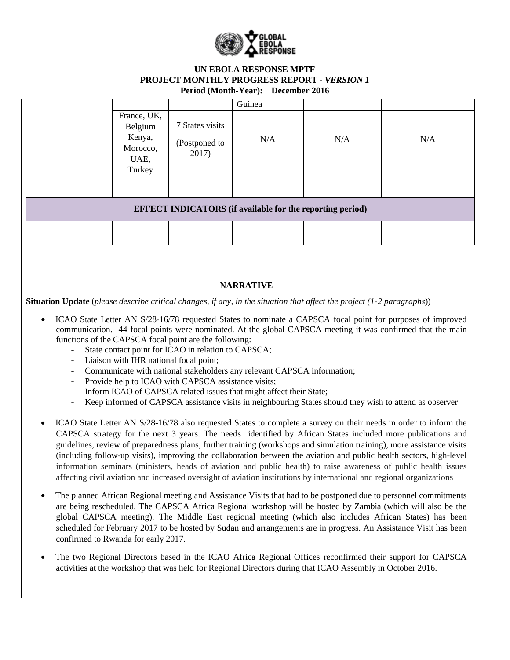

|                                                                |                                           | Guinea                                                           |     |     |
|----------------------------------------------------------------|-------------------------------------------|------------------------------------------------------------------|-----|-----|
| France, UK,<br>Belgium<br>Kenya,<br>Morocco,<br>UAE,<br>Turkey | 7 States visits<br>(Postponed to<br>2017) | N/A                                                              | N/A | N/A |
|                                                                |                                           |                                                                  |     |     |
|                                                                |                                           | <b>EFFECT INDICATORS</b> (if available for the reporting period) |     |     |
|                                                                |                                           |                                                                  |     |     |
|                                                                |                                           |                                                                  |     |     |

### **NARRATIVE**

**Situation Update** (*please describe critical changes, if any, in the situation that affect the project (1-2 paragraphs*))

- ICAO State Letter AN S/28-16/78 requested States to nominate a CAPSCA focal point for purposes of improved communication. 44 focal points were nominated. At the global CAPSCA meeting it was confirmed that the main functions of the CAPSCA focal point are the following:
	- State contact point for ICAO in relation to CAPSCA;
	- Liaison with IHR national focal point;
	- Communicate with national stakeholders any relevant CAPSCA information;
	- Provide help to ICAO with CAPSCA assistance visits;
	- Inform ICAO of CAPSCA related issues that might affect their State;
	- Keep informed of CAPSCA assistance visits in neighbouring States should they wish to attend as observer
- ICAO State Letter AN S/28-16/78 also requested States to complete a survey on their needs in order to inform the CAPSCA strategy for the next 3 years. The needs identified by African States included more publications and guidelines, review of preparedness plans, further training (workshops and simulation training), more assistance visits (including follow-up visits), improving the collaboration between the aviation and public health sectors, high-level information seminars (ministers, heads of aviation and public health) to raise awareness of public health issues affecting civil aviation and increased oversight of aviation institutions by international and regional organizations
- The planned African Regional meeting and Assistance Visits that had to be postponed due to personnel commitments are being rescheduled. The CAPSCA Africa Regional workshop will be hosted by Zambia (which will also be the global CAPSCA meeting). The Middle East regional meeting (which also includes African States) has been scheduled for February 2017 to be hosted by Sudan and arrangements are in progress. An Assistance Visit has been confirmed to Rwanda for early 2017.
- The two Regional Directors based in the ICAO Africa Regional Offices reconfirmed their support for CAPSCA activities at the workshop that was held for Regional Directors during that ICAO Assembly in October 2016.